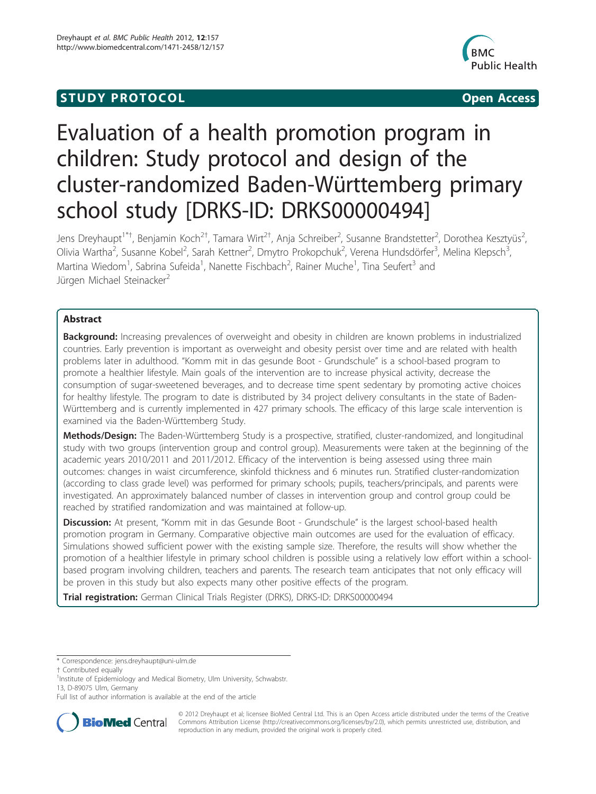# **STUDY PROTOCOL** CONTROL CONTROL CONTROL CONTROL CONTROL CONTROL CONTROL CONTROL CONTROL CONTROL CONTROL CONTROL CONTROL CONTROL CONTROL CONTROL CONTROL CONTROL CONTROL CONTROL CONTROL CONTROL CONTROL CONTROL CONTROL CONTR



# Evaluation of a health promotion program in children: Study protocol and design of the cluster-randomized Baden-Württemberg primary school study [DRKS-ID: DRKS00000494]

Jens Dreyhaupt<sup>1\*†</sup>, Benjamin Koch<sup>2†</sup>, Tamara Wirt<sup>2†</sup>, Anja Schreiber<sup>2</sup>, Susanne Brandstetter<sup>2</sup>, Dorothea Kesztyüs<sup>2</sup> .<br>, Olivia Wartha<sup>2</sup>, Susanne Kobel<sup>2</sup>, Sarah Kettner<sup>2</sup>, Dmytro Prokopchuk<sup>2</sup>, Verena Hundsdörfer<sup>3</sup>, Melina Klepsch<sup>3</sup> , Martina Wiedom<sup>1</sup>, Sabrina Sufeida<sup>1</sup>, Nanette Fischbach<sup>2</sup>, Rainer Muche<sup>1</sup>, Tina Seufert<sup>3</sup> and Jürgen Michael Steinacker<sup>2</sup>

# Abstract

Background: Increasing prevalences of overweight and obesity in children are known problems in industrialized countries. Early prevention is important as overweight and obesity persist over time and are related with health problems later in adulthood. "Komm mit in das gesunde Boot - Grundschule" is a school-based program to promote a healthier lifestyle. Main goals of the intervention are to increase physical activity, decrease the consumption of sugar-sweetened beverages, and to decrease time spent sedentary by promoting active choices for healthy lifestyle. The program to date is distributed by 34 project delivery consultants in the state of Baden-Württemberg and is currently implemented in 427 primary schools. The efficacy of this large scale intervention is examined via the Baden-Württemberg Study.

Methods/Design: The Baden-Württemberg Study is a prospective, stratified, cluster-randomized, and longitudinal study with two groups (intervention group and control group). Measurements were taken at the beginning of the academic years 2010/2011 and 2011/2012. Efficacy of the intervention is being assessed using three main outcomes: changes in waist circumference, skinfold thickness and 6 minutes run. Stratified cluster-randomization (according to class grade level) was performed for primary schools; pupils, teachers/principals, and parents were investigated. An approximately balanced number of classes in intervention group and control group could be reached by stratified randomization and was maintained at follow-up.

Discussion: At present, "Komm mit in das Gesunde Boot - Grundschule" is the largest school-based health promotion program in Germany. Comparative objective main outcomes are used for the evaluation of efficacy. Simulations showed sufficient power with the existing sample size. Therefore, the results will show whether the promotion of a healthier lifestyle in primary school children is possible using a relatively low effort within a schoolbased program involving children, teachers and parents. The research team anticipates that not only efficacy will be proven in this study but also expects many other positive effects of the program.

Trial registration: German Clinical Trials Register (DRKS), DRKS-ID: DRKS00000494

\* Correspondence: [jens.dreyhaupt@uni-ulm.de](mailto:jens.dreyhaupt@uni-ulm.de)

† Contributed equally <sup>1</sup>

<sup>1</sup>Institute of Epidemiology and Medical Biometry, Ulm University, Schwabstr. 13, D-89075 Ulm, Germany

Full list of author information is available at the end of the article



© 2012 Dreyhaupt et al; licensee BioMed Central Ltd. This is an Open Access article distributed under the terms of the Creative Commons Attribution License [\(http://creativecommons.org/licenses/by/2.0](http://creativecommons.org/licenses/by/2.0)), which permits unrestricted use, distribution, and reproduction in any medium, provided the original work is properly cited.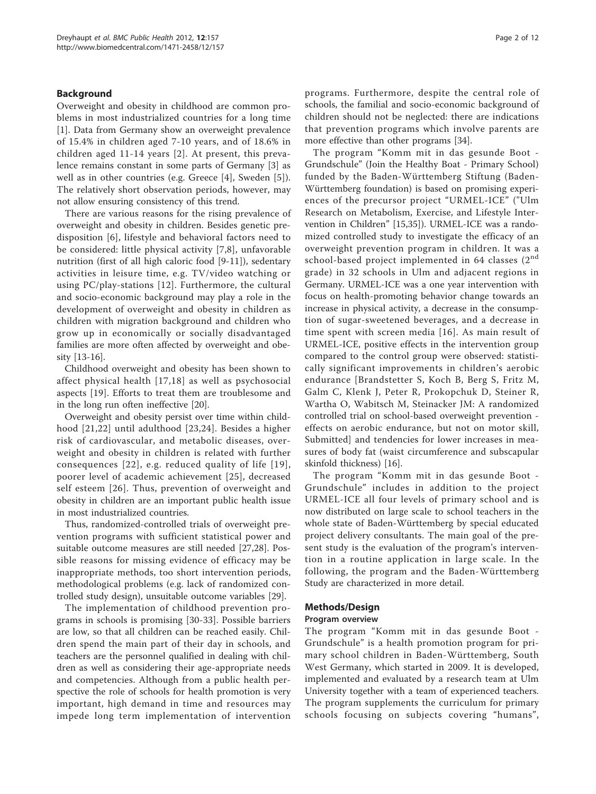# Background

Overweight and obesity in childhood are common problems in most industrialized countries for a long time [[1\]](#page-10-0). Data from Germany show an overweight prevalence of 15.4% in children aged 7-10 years, and of 18.6% in children aged 11-14 years [[2\]](#page-10-0). At present, this prevalence remains constant in some parts of Germany [[3\]](#page-10-0) as well as in other countries (e.g. Greece [\[4](#page-10-0)], Sweden [[5\]](#page-10-0)). The relatively short observation periods, however, may not allow ensuring consistency of this trend.

There are various reasons for the rising prevalence of overweight and obesity in children. Besides genetic predisposition [[6](#page-10-0)], lifestyle and behavioral factors need to be considered: little physical activity [\[7,8\]](#page-10-0), unfavorable nutrition (first of all high caloric food [[9-11](#page-10-0)]), sedentary activities in leisure time, e.g. TV/video watching or using PC/play-stations [[12](#page-10-0)]. Furthermore, the cultural and socio-economic background may play a role in the development of overweight and obesity in children as children with migration background and children who grow up in economically or socially disadvantaged families are more often affected by overweight and obesity [[13-16](#page-10-0)].

Childhood overweight and obesity has been shown to affect physical health [[17,18\]](#page-10-0) as well as psychosocial aspects [\[19](#page-10-0)]. Efforts to treat them are troublesome and in the long run often ineffective [\[20](#page-10-0)].

Overweight and obesity persist over time within childhood [[21](#page-10-0),[22\]](#page-10-0) until adulthood [[23,24](#page-10-0)]. Besides a higher risk of cardiovascular, and metabolic diseases, overweight and obesity in children is related with further consequences [[22](#page-10-0)], e.g. reduced quality of life [[19\]](#page-10-0), poorer level of academic achievement [[25](#page-11-0)], decreased self esteem [\[26\]](#page-11-0). Thus, prevention of overweight and obesity in children are an important public health issue in most industrialized countries.

Thus, randomized-controlled trials of overweight prevention programs with sufficient statistical power and suitable outcome measures are still needed [[27,28\]](#page-11-0). Possible reasons for missing evidence of efficacy may be inappropriate methods, too short intervention periods, methodological problems (e.g. lack of randomized controlled study design), unsuitable outcome variables [\[29](#page-11-0)].

The implementation of childhood prevention programs in schools is promising [\[30](#page-11-0)-[33\]](#page-11-0). Possible barriers are low, so that all children can be reached easily. Children spend the main part of their day in schools, and teachers are the personnel qualified in dealing with children as well as considering their age-appropriate needs and competencies. Although from a public health perspective the role of schools for health promotion is very important, high demand in time and resources may impede long term implementation of intervention programs. Furthermore, despite the central role of schools, the familial and socio-economic background of children should not be neglected: there are indications that prevention programs which involve parents are more effective than other programs [\[34\]](#page-11-0).

The program "Komm mit in das gesunde Boot - Grundschule" (Join the Healthy Boat - Primary School) funded by the Baden-Württemberg Stiftung (Baden-Württemberg foundation) is based on promising experiences of the precursor project "URMEL-ICE" ("Ulm Research on Metabolism, Exercise, and Lifestyle Intervention in Children" [[15,](#page-10-0)[35\]](#page-11-0)). URMEL-ICE was a randomized controlled study to investigate the efficacy of an overweight prevention program in children. It was a school-based project implemented in 64 classes  $(2^{nd}$ grade) in 32 schools in Ulm and adjacent regions in Germany. URMEL-ICE was a one year intervention with focus on health-promoting behavior change towards an increase in physical activity, a decrease in the consumption of sugar-sweetened beverages, and a decrease in time spent with screen media [[16](#page-10-0)]. As main result of URMEL-ICE, positive effects in the intervention group compared to the control group were observed: statistically significant improvements in children's aerobic endurance [Brandstetter S, Koch B, Berg S, Fritz M, Galm C, Klenk J, Peter R, Prokopchuk D, Steiner R, Wartha O, Wabitsch M, Steinacker JM: A randomized controlled trial on school-based overweight prevention effects on aerobic endurance, but not on motor skill, Submitted] and tendencies for lower increases in measures of body fat (waist circumference and subscapular skinfold thickness) [\[16](#page-10-0)].

The program "Komm mit in das gesunde Boot - Grundschule" includes in addition to the project URMEL-ICE all four levels of primary school and is now distributed on large scale to school teachers in the whole state of Baden-Württemberg by special educated project delivery consultants. The main goal of the present study is the evaluation of the program's intervention in a routine application in large scale. In the following, the program and the Baden-Württemberg Study are characterized in more detail.

#### Methods/Design

#### Program overview

The program "Komm mit in das gesunde Boot - Grundschule" is a health promotion program for primary school children in Baden-Württemberg, South West Germany, which started in 2009. It is developed, implemented and evaluated by a research team at Ulm University together with a team of experienced teachers. The program supplements the curriculum for primary schools focusing on subjects covering "humans",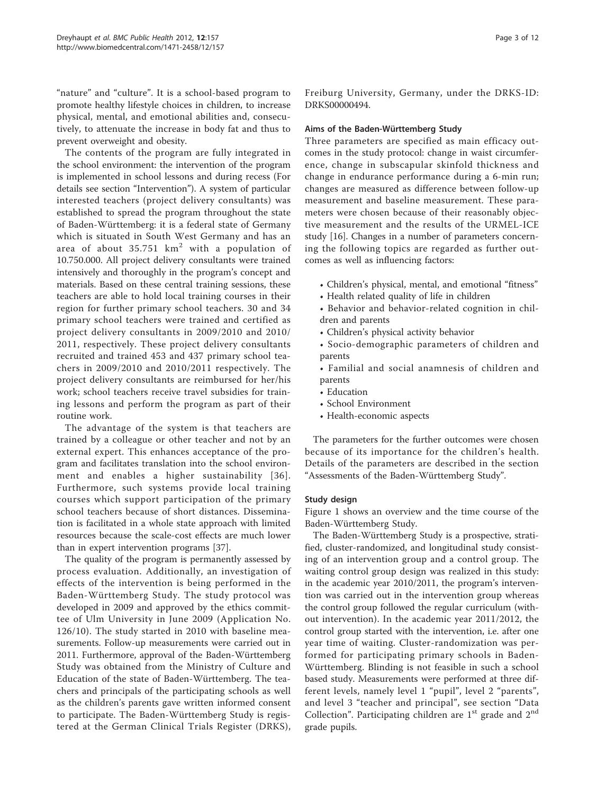"nature" and "culture". It is a school-based program to promote healthy lifestyle choices in children, to increase physical, mental, and emotional abilities and, consecutively, to attenuate the increase in body fat and thus to prevent overweight and obesity.

The contents of the program are fully integrated in the school environment: the intervention of the program is implemented in school lessons and during recess (For details see section "Intervention"). A system of particular interested teachers (project delivery consultants) was established to spread the program throughout the state of Baden-Württemberg: it is a federal state of Germany which is situated in South West Germany and has an area of about  $35.751 \text{ km}^2$  with a population of 10.750.000. All project delivery consultants were trained intensively and thoroughly in the program's concept and materials. Based on these central training sessions, these teachers are able to hold local training courses in their region for further primary school teachers. 30 and 34 primary school teachers were trained and certified as project delivery consultants in 2009/2010 and 2010/ 2011, respectively. These project delivery consultants recruited and trained 453 and 437 primary school teachers in 2009/2010 and 2010/2011 respectively. The project delivery consultants are reimbursed for her/his work; school teachers receive travel subsidies for training lessons and perform the program as part of their routine work.

The advantage of the system is that teachers are trained by a colleague or other teacher and not by an external expert. This enhances acceptance of the program and facilitates translation into the school environment and enables a higher sustainability [[36\]](#page-11-0). Furthermore, such systems provide local training courses which support participation of the primary school teachers because of short distances. Dissemination is facilitated in a whole state approach with limited resources because the scale-cost effects are much lower than in expert intervention programs [[37\]](#page-11-0).

The quality of the program is permanently assessed by process evaluation. Additionally, an investigation of effects of the intervention is being performed in the Baden-Württemberg Study. The study protocol was developed in 2009 and approved by the ethics committee of Ulm University in June 2009 (Application No. 126/10). The study started in 2010 with baseline measurements. Follow-up measurements were carried out in 2011. Furthermore, approval of the Baden-Württemberg Study was obtained from the Ministry of Culture and Education of the state of Baden-Württemberg. The teachers and principals of the participating schools as well as the children's parents gave written informed consent to participate. The Baden-Württemberg Study is registered at the German Clinical Trials Register (DRKS), Freiburg University, Germany, under the DRKS-ID: DRKS00000494.

#### Aims of the Baden-Württemberg Study

Three parameters are specified as main efficacy outcomes in the study protocol: change in waist circumference, change in subscapular skinfold thickness and change in endurance performance during a 6-min run; changes are measured as difference between follow-up measurement and baseline measurement. These parameters were chosen because of their reasonably objective measurement and the results of the URMEL-ICE study [[16\]](#page-10-0). Changes in a number of parameters concerning the following topics are regarded as further outcomes as well as influencing factors:

- Children's physical, mental, and emotional "fitness"
- Health related quality of life in children
- Behavior and behavior-related cognition in children and parents
- Children's physical activity behavior
- Socio-demographic parameters of children and parents
- Familial and social anamnesis of children and parents
- Education
- School Environment
- Health-economic aspects

The parameters for the further outcomes were chosen because of its importance for the children's health. Details of the parameters are described in the section "Assessments of the Baden-Württemberg Study".

#### Study design

Figure [1](#page-3-0) shows an overview and the time course of the Baden-Württemberg Study.

The Baden-Württemberg Study is a prospective, stratified, cluster-randomized, and longitudinal study consisting of an intervention group and a control group. The waiting control group design was realized in this study: in the academic year 2010/2011, the program's intervention was carried out in the intervention group whereas the control group followed the regular curriculum (without intervention). In the academic year 2011/2012, the control group started with the intervention, i.e. after one year time of waiting. Cluster-randomization was performed for participating primary schools in Baden-Württemberg. Blinding is not feasible in such a school based study. Measurements were performed at three different levels, namely level 1 "pupil", level 2 "parents", and level 3 "teacher and principal", see section "Data Collection". Participating children are  $1<sup>st</sup>$  grade and  $2<sup>nd</sup>$ grade pupils.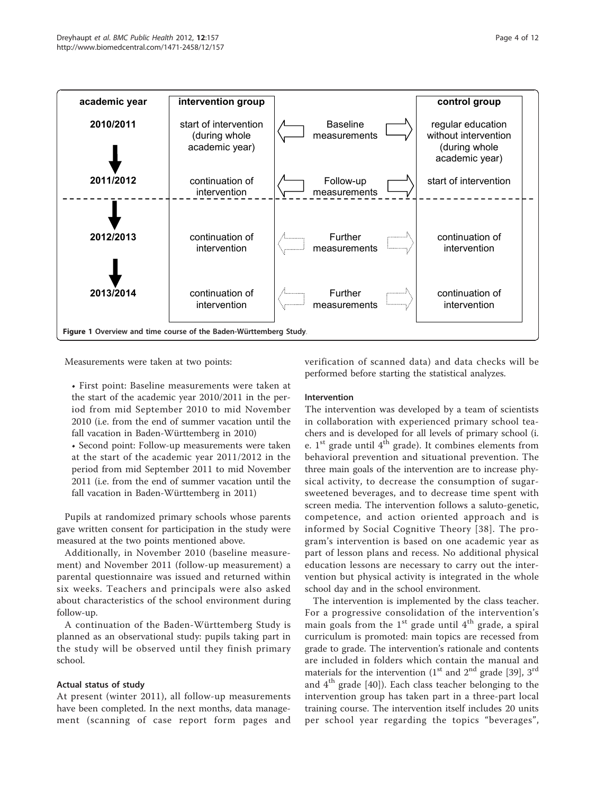<span id="page-3-0"></span>

Measurements were taken at two points:

• First point: Baseline measurements were taken at the start of the academic year 2010/2011 in the period from mid September 2010 to mid November 2010 (i.e. from the end of summer vacation until the fall vacation in Baden-Württemberg in 2010)

• Second point: Follow-up measurements were taken at the start of the academic year 2011/2012 in the period from mid September 2011 to mid November 2011 (i.e. from the end of summer vacation until the fall vacation in Baden-Württemberg in 2011)

Pupils at randomized primary schools whose parents gave written consent for participation in the study were measured at the two points mentioned above.

Additionally, in November 2010 (baseline measurement) and November 2011 (follow-up measurement) a parental questionnaire was issued and returned within six weeks. Teachers and principals were also asked about characteristics of the school environment during follow-up.

A continuation of the Baden-Württemberg Study is planned as an observational study: pupils taking part in the study will be observed until they finish primary school.

# Actual status of study

At present (winter 2011), all follow-up measurements have been completed. In the next months, data management (scanning of case report form pages and verification of scanned data) and data checks will be performed before starting the statistical analyzes.

#### Intervention

The intervention was developed by a team of scientists in collaboration with experienced primary school teachers and is developed for all levels of primary school (i. e.  $1<sup>st</sup>$  grade until  $4<sup>th</sup>$  grade). It combines elements from behavioral prevention and situational prevention. The three main goals of the intervention are to increase physical activity, to decrease the consumption of sugarsweetened beverages, and to decrease time spent with screen media. The intervention follows a saluto-genetic, competence, and action oriented approach and is informed by Social Cognitive Theory [[38\]](#page-11-0). The program's intervention is based on one academic year as part of lesson plans and recess. No additional physical education lessons are necessary to carry out the intervention but physical activity is integrated in the whole school day and in the school environment.

The intervention is implemented by the class teacher. For a progressive consolidation of the intervention's main goals from the  $1^{st}$  grade until  $4^{th}$  grade, a spiral curriculum is promoted: main topics are recessed from grade to grade. The intervention's rationale and contents are included in folders which contain the manual and materials for the intervention  $(1<sup>st</sup>$  and  $2<sup>nd</sup>$  grade [[39](#page-11-0)],  $3<sup>rd</sup>$ and  $4<sup>th</sup>$  grade [[40\]](#page-11-0)). Each class teacher belonging to the intervention group has taken part in a three-part local training course. The intervention itself includes 20 units per school year regarding the topics "beverages",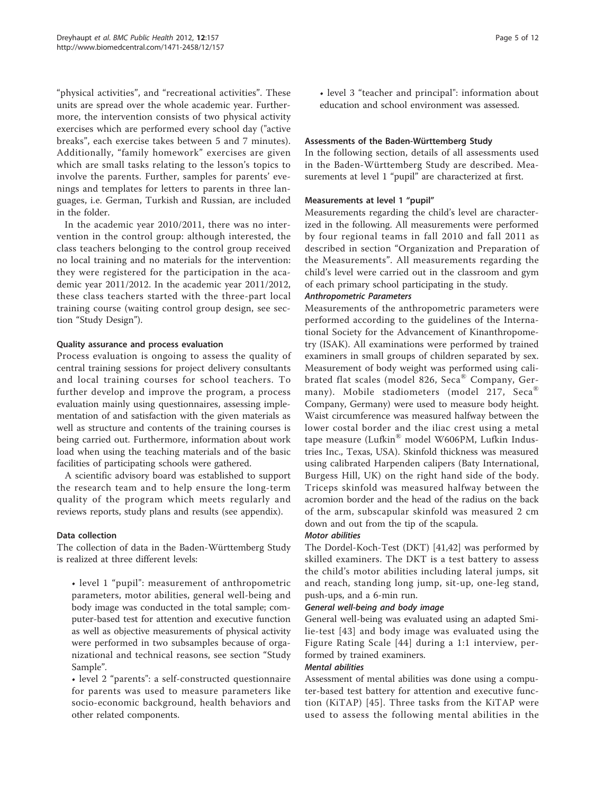"physical activities", and "recreational activities". These units are spread over the whole academic year. Furthermore, the intervention consists of two physical activity exercises which are performed every school day ("active breaks", each exercise takes between 5 and 7 minutes). Additionally, "family homework" exercises are given which are small tasks relating to the lesson's topics to involve the parents. Further, samples for parents' evenings and templates for letters to parents in three languages, i.e. German, Turkish and Russian, are included in the folder.

In the academic year 2010/2011, there was no intervention in the control group: although interested, the class teachers belonging to the control group received no local training and no materials for the intervention: they were registered for the participation in the academic year 2011/2012. In the academic year 2011/2012, these class teachers started with the three-part local training course (waiting control group design, see section "Study Design").

# Quality assurance and process evaluation

Process evaluation is ongoing to assess the quality of central training sessions for project delivery consultants and local training courses for school teachers. To further develop and improve the program, a process evaluation mainly using questionnaires, assessing implementation of and satisfaction with the given materials as well as structure and contents of the training courses is being carried out. Furthermore, information about work load when using the teaching materials and of the basic facilities of participating schools were gathered.

A scientific advisory board was established to support the research team and to help ensure the long-term quality of the program which meets regularly and reviews reports, study plans and results (see appendix).

# Data collection

The collection of data in the Baden-Württemberg Study is realized at three different levels:

• level 1 "pupil": measurement of anthropometric parameters, motor abilities, general well-being and body image was conducted in the total sample; computer-based test for attention and executive function as well as objective measurements of physical activity were performed in two subsamples because of organizational and technical reasons, see section "Study Sample".

• level 2 "parents": a self-constructed questionnaire for parents was used to measure parameters like socio-economic background, health behaviors and other related components.

• level 3 "teacher and principal": information about education and school environment was assessed.

# Assessments of the Baden-Württemberg Study

In the following section, details of all assessments used in the Baden-Württemberg Study are described. Measurements at level 1 "pupil" are characterized at first.

# Measurements at level 1 "pupil"

Measurements regarding the child's level are characterized in the following. All measurements were performed by four regional teams in fall 2010 and fall 2011 as described in section "Organization and Preparation of the Measurements". All measurements regarding the child's level were carried out in the classroom and gym of each primary school participating in the study.

# Anthropometric Parameters

Measurements of the anthropometric parameters were performed according to the guidelines of the International Society for the Advancement of Kinanthropometry (ISAK). All examinations were performed by trained examiners in small groups of children separated by sex. Measurement of body weight was performed using calibrated flat scales (model 826, Seca® Company, Germany). Mobile stadiometers (model 217, Seca<sup>®</sup> Company, Germany) were used to measure body height. Waist circumference was measured halfway between the lower costal border and the iliac crest using a metal tape measure (Lufkin® model W606PM, Lufkin Industries Inc., Texas, USA). Skinfold thickness was measured using calibrated Harpenden calipers (Baty International, Burgess Hill, UK) on the right hand side of the body. Triceps skinfold was measured halfway between the acromion border and the head of the radius on the back of the arm, subscapular skinfold was measured 2 cm down and out from the tip of the scapula.

# Motor abilities

The Dordel-Koch-Test (DKT) [[41,42\]](#page-11-0) was performed by skilled examiners. The DKT is a test battery to assess the child's motor abilities including lateral jumps, sit and reach, standing long jump, sit-up, one-leg stand, push-ups, and a 6-min run.

#### General well-being and body image

General well-being was evaluated using an adapted Smilie-test [[43\]](#page-11-0) and body image was evaluated using the Figure Rating Scale [[44\]](#page-11-0) during a 1:1 interview, performed by trained examiners.

#### Mental abilities

Assessment of mental abilities was done using a computer-based test battery for attention and executive function (KiTAP) [[45\]](#page-11-0). Three tasks from the KiTAP were used to assess the following mental abilities in the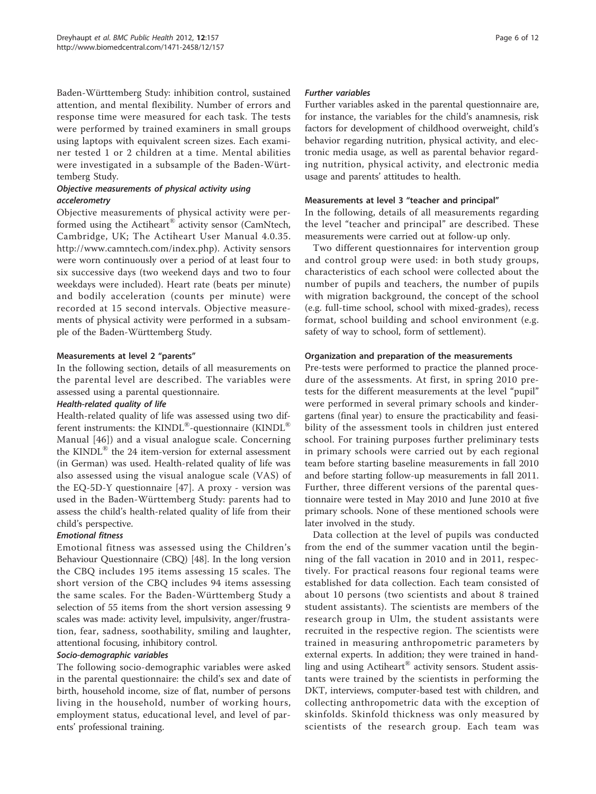Baden-Württemberg Study: inhibition control, sustained attention, and mental flexibility. Number of errors and response time were measured for each task. The tests were performed by trained examiners in small groups using laptops with equivalent screen sizes. Each examiner tested 1 or 2 children at a time. Mental abilities were investigated in a subsample of the Baden-Württemberg Study.

# Objective measurements of physical activity using accelerometry

Objective measurements of physical activity were performed using the Actiheart® activity sensor (CamNtech, Cambridge, UK; The Actiheart User Manual 4.0.35. <http://www.camntech.com/index.php>). Activity sensors were worn continuously over a period of at least four to six successive days (two weekend days and two to four weekdays were included). Heart rate (beats per minute) and bodily acceleration (counts per minute) were recorded at 15 second intervals. Objective measurements of physical activity were performed in a subsample of the Baden-Württemberg Study.

# Measurements at level 2 "parents"

In the following section, details of all measurements on the parental level are described. The variables were assessed using a parental questionnaire.

# Health-related quality of life

Health-related quality of life was assessed using two different instruments: the KINDL®-questionnaire (KINDL® Manual [[46](#page-11-0)]) and a visual analogue scale. Concerning the KINDL® the 24 item-version for external assessment (in German) was used. Health-related quality of life was also assessed using the visual analogue scale (VAS) of the EQ-5D-Y questionnaire [[47\]](#page-11-0). A proxy - version was used in the Baden-Württemberg Study: parents had to assess the child's health-related quality of life from their child's perspective.

# Emotional fitness

Emotional fitness was assessed using the Children's Behaviour Questionnaire (CBQ) [\[48\]](#page-11-0). In the long version the CBQ includes 195 items assessing 15 scales. The short version of the CBQ includes 94 items assessing the same scales. For the Baden-Württemberg Study a selection of 55 items from the short version assessing 9 scales was made: activity level, impulsivity, anger/frustration, fear, sadness, soothability, smiling and laughter, attentional focusing, inhibitory control.

# Socio-demographic variables

The following socio-demographic variables were asked in the parental questionnaire: the child's sex and date of birth, household income, size of flat, number of persons living in the household, number of working hours, employment status, educational level, and level of parents' professional training.

# Further variables

Further variables asked in the parental questionnaire are, for instance, the variables for the child's anamnesis, risk factors for development of childhood overweight, child's behavior regarding nutrition, physical activity, and electronic media usage, as well as parental behavior regarding nutrition, physical activity, and electronic media usage and parents' attitudes to health.

# Measurements at level 3 "teacher and principal"

In the following, details of all measurements regarding the level "teacher and principal" are described. These measurements were carried out at follow-up only.

Two different questionnaires for intervention group and control group were used: in both study groups, characteristics of each school were collected about the number of pupils and teachers, the number of pupils with migration background, the concept of the school (e.g. full-time school, school with mixed-grades), recess format, school building and school environment (e.g. safety of way to school, form of settlement).

# Organization and preparation of the measurements

Pre-tests were performed to practice the planned procedure of the assessments. At first, in spring 2010 pretests for the different measurements at the level "pupil" were performed in several primary schools and kindergartens (final year) to ensure the practicability and feasibility of the assessment tools in children just entered school. For training purposes further preliminary tests in primary schools were carried out by each regional team before starting baseline measurements in fall 2010 and before starting follow-up measurements in fall 2011. Further, three different versions of the parental questionnaire were tested in May 2010 and June 2010 at five primary schools. None of these mentioned schools were later involved in the study.

Data collection at the level of pupils was conducted from the end of the summer vacation until the beginning of the fall vacation in 2010 and in 2011, respectively. For practical reasons four regional teams were established for data collection. Each team consisted of about 10 persons (two scientists and about 8 trained student assistants). The scientists are members of the research group in Ulm, the student assistants were recruited in the respective region. The scientists were trained in measuring anthropometric parameters by external experts. In addition; they were trained in handling and using Actiheart® activity sensors. Student assistants were trained by the scientists in performing the DKT, interviews, computer-based test with children, and collecting anthropometric data with the exception of skinfolds. Skinfold thickness was only measured by scientists of the research group. Each team was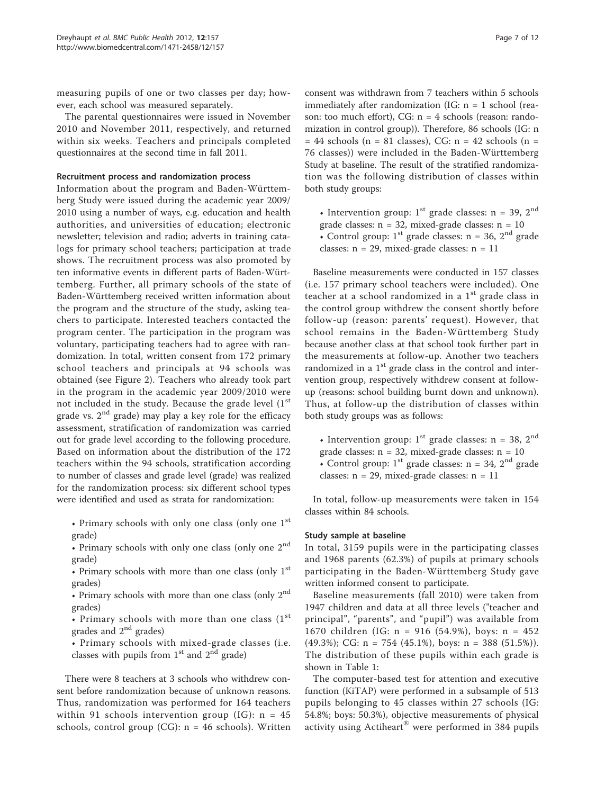measuring pupils of one or two classes per day; however, each school was measured separately.

The parental questionnaires were issued in November 2010 and November 2011, respectively, and returned within six weeks. Teachers and principals completed questionnaires at the second time in fall 2011.

#### Recruitment process and randomization process

Information about the program and Baden-Württemberg Study were issued during the academic year 2009/ 2010 using a number of ways, e.g. education and health authorities, and universities of education; electronic newsletter; television and radio; adverts in training catalogs for primary school teachers; participation at trade shows. The recruitment process was also promoted by ten informative events in different parts of Baden-Württemberg. Further, all primary schools of the state of Baden-Württemberg received written information about the program and the structure of the study, asking teachers to participate. Interested teachers contacted the program center. The participation in the program was voluntary, participating teachers had to agree with randomization. In total, written consent from 172 primary school teachers and principals at 94 schools was obtained (see Figure [2](#page-7-0)). Teachers who already took part in the program in the academic year 2009/2010 were not included in the study. Because the grade level (1st grade vs.  $2<sup>nd</sup>$  grade) may play a key role for the efficacy assessment, stratification of randomization was carried out for grade level according to the following procedure. Based on information about the distribution of the 172 teachers within the 94 schools, stratification according to number of classes and grade level (grade) was realized for the randomization process: six different school types were identified and used as strata for randomization:

• Primary schools with only one class (only one 1st grade)

• Primary schools with only one class (only one  $2^{nd}$ grade)

• Primary schools with more than one class (only  $1<sup>st</sup>$ grades)

• Primary schools with more than one class (only  $2^{nd}$ grades)

• Primary schools with more than one class  $(1<sup>st</sup>$ grades and  $2<sup>nd</sup>$  grades)

• Primary schools with mixed-grade classes (i.e. classes with pupils from  $1<sup>st</sup>$  and  $2<sup>nd</sup>$  grade)

There were 8 teachers at 3 schools who withdrew consent before randomization because of unknown reasons. Thus, randomization was performed for 164 teachers within 91 schools intervention group (IG):  $n = 45$ schools, control group  $(CG)$ :  $n = 46$  schools). Written

consent was withdrawn from 7 teachers within 5 schools immediately after randomization (IG:  $n = 1$  school (reason: too much effort), CG: n = 4 schools (reason: randomization in control group)). Therefore, 86 schools (IG: n  $= 44$  schools (n = 81 classes), CG: n = 42 schools (n = 76 classes)) were included in the Baden-Württemberg Study at baseline. The result of the stratified randomization was the following distribution of classes within both study groups:

• Intervention group:  $1^{st}$  grade classes: n = 39,  $2^{nd}$ grade classes:  $n = 32$ , mixed-grade classes:  $n = 10$ • Control group:  $1^{st}$  grade classes: n = 36,  $2^{nd}$  grade classes:  $n = 29$ , mixed-grade classes:  $n = 11$ 

Baseline measurements were conducted in 157 classes (i.e. 157 primary school teachers were included). One teacher at a school randomized in a  $1<sup>st</sup>$  grade class in the control group withdrew the consent shortly before follow-up (reason: parents' request). However, that school remains in the Baden-Württemberg Study because another class at that school took further part in the measurements at follow-up. Another two teachers randomized in a  $1<sup>st</sup>$  grade class in the control and intervention group, respectively withdrew consent at followup (reasons: school building burnt down and unknown). Thus, at follow-up the distribution of classes within both study groups was as follows:

• Intervention group:  $1^{st}$  grade classes: n = 38,  $2^{nd}$ grade classes:  $n = 32$ , mixed-grade classes:  $n = 10$ • Control group:  $1^{st}$  grade classes:  $n = 34$ ,  $2^{nd}$  grade classes:  $n = 29$ , mixed-grade classes:  $n = 11$ 

In total, follow-up measurements were taken in 154 classes within 84 schools.

#### Study sample at baseline

In total, 3159 pupils were in the participating classes and 1968 parents (62.3%) of pupils at primary schools participating in the Baden-Württemberg Study gave written informed consent to participate.

Baseline measurements (fall 2010) were taken from 1947 children and data at all three levels ("teacher and principal", "parents", and "pupil") was available from 1670 children (IG: n = 916 (54.9%), boys: n = 452  $(49.3\%)$ ; CG: n = 754 (45.1%), boys: n = 388 (51.5%)). The distribution of these pupils within each grade is shown in Table [1](#page-8-0):

The computer-based test for attention and executive function (KiTAP) were performed in a subsample of 513 pupils belonging to 45 classes within 27 schools (IG: 54.8%; boys: 50.3%), objective measurements of physical activity using Actiheart® were performed in 384 pupils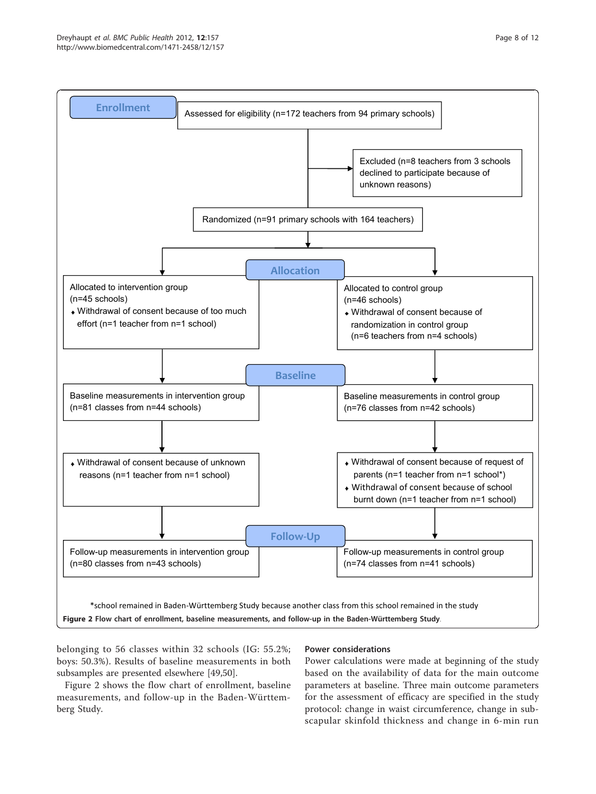<span id="page-7-0"></span>

belonging to 56 classes within 32 schools (IG: 55.2%; boys: 50.3%). Results of baseline measurements in both subsamples are presented elsewhere [[49,50](#page-11-0)].

berg Study.

# Figure 2 shows the flow chart of enrollment, baseline measurements, and follow-up in the Baden-Württem-

# Power considerations

Power calculations were made at beginning of the study based on the availability of data for the main outcome parameters at baseline. Three main outcome parameters for the assessment of efficacy are specified in the study protocol: change in waist circumference, change in subscapular skinfold thickness and change in 6-min run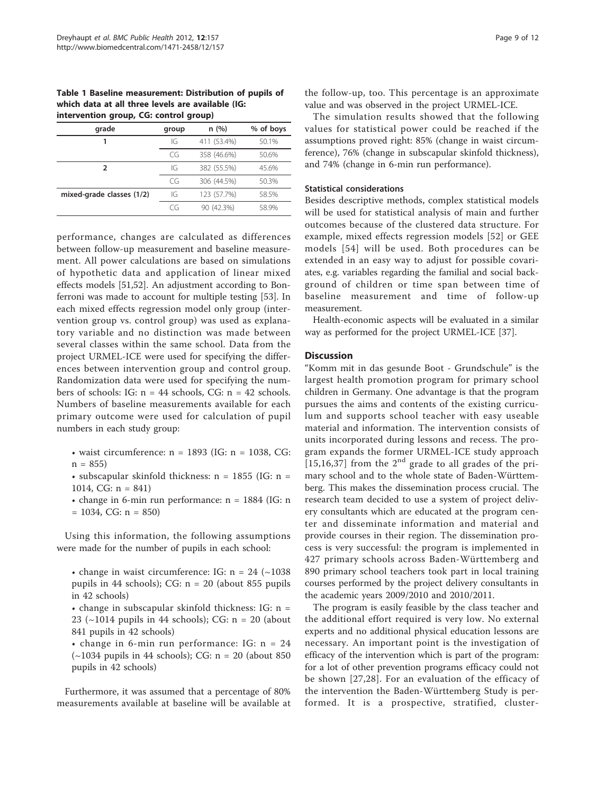<span id="page-8-0"></span>Table 1 Baseline measurement: Distribution of pupils of which data at all three levels are available (IG: intervention group, CG: control group)

| grade                     | group | n(%)        | % of boys |
|---------------------------|-------|-------------|-----------|
|                           | IG    | 411 (53.4%) | 50.1%     |
|                           | CG    | 358 (46.6%) | 50.6%     |
| $\mathbf{z}$              | IG    | 382 (55.5%) | 45.6%     |
|                           | CG    | 306 (44.5%) | 50.3%     |
| mixed-grade classes (1/2) | IG    | 123 (57.7%) | 58.5%     |
|                           | CG    | 90 (42.3%)  | 58.9%     |

performance, changes are calculated as differences between follow-up measurement and baseline measurement. All power calculations are based on simulations of hypothetic data and application of linear mixed effects models [\[51,52](#page-11-0)]. An adjustment according to Bonferroni was made to account for multiple testing [[53](#page-11-0)]. In each mixed effects regression model only group (intervention group vs. control group) was used as explanatory variable and no distinction was made between several classes within the same school. Data from the project URMEL-ICE were used for specifying the differences between intervention group and control group. Randomization data were used for specifying the numbers of schools: IG:  $n = 44$  schools, CG:  $n = 42$  schools. Numbers of baseline measurements available for each primary outcome were used for calculation of pupil numbers in each study group:

• waist circumference:  $n = 1893$  (IG:  $n = 1038$ , CG:  $n = 855$ 

• subscapular skinfold thickness:  $n = 1855$  (IG:  $n =$ 1014, CG: n = 841)

• change in 6-min run performance: n = 1884 (IG: n  $= 1034$ , CG:  $n = 850$ )

Using this information, the following assumptions were made for the number of pupils in each school:

- change in waist circumference: IG:  $n = 24$  (~1038) pupils in 44 schools); CG:  $n = 20$  (about 855 pupils in 42 schools)
- change in subscapular skinfold thickness: IG: n = 23 ( $\sim$ 1014 pupils in 44 schools); CG: n = 20 (about 841 pupils in 42 schools)
- change in 6-min run performance: IG: n = 24  $(\sim 1034$  pupils in 44 schools); CG: n = 20 (about 850) pupils in 42 schools)

Furthermore, it was assumed that a percentage of 80% measurements available at baseline will be available at

the follow-up, too. This percentage is an approximate value and was observed in the project URMEL-ICE.

The simulation results showed that the following values for statistical power could be reached if the assumptions proved right: 85% (change in waist circumference), 76% (change in subscapular skinfold thickness), and 74% (change in 6-min run performance).

#### Statistical considerations

Besides descriptive methods, complex statistical models will be used for statistical analysis of main and further outcomes because of the clustered data structure. For example, mixed effects regression models [\[52](#page-11-0)] or GEE models [[54\]](#page-11-0) will be used. Both procedures can be extended in an easy way to adjust for possible covariates, e.g. variables regarding the familial and social background of children or time span between time of baseline measurement and time of follow-up measurement.

Health-economic aspects will be evaluated in a similar way as performed for the project URMEL-ICE [[37](#page-11-0)].

#### **Discussion**

"Komm mit in das gesunde Boot - Grundschule" is the largest health promotion program for primary school children in Germany. One advantage is that the program pursues the aims and contents of the existing curriculum and supports school teacher with easy useable material and information. The intervention consists of units incorporated during lessons and recess. The program expands the former URMEL-ICE study approach [[15](#page-10-0),[16](#page-10-0),[37\]](#page-11-0) from the  $2<sup>nd</sup>$  grade to all grades of the primary school and to the whole state of Baden-Württemberg. This makes the dissemination process crucial. The research team decided to use a system of project delivery consultants which are educated at the program center and disseminate information and material and provide courses in their region. The dissemination process is very successful: the program is implemented in 427 primary schools across Baden-Württemberg and 890 primary school teachers took part in local training courses performed by the project delivery consultants in the academic years 2009/2010 and 2010/2011.

The program is easily feasible by the class teacher and the additional effort required is very low. No external experts and no additional physical education lessons are necessary. An important point is the investigation of efficacy of the intervention which is part of the program: for a lot of other prevention programs efficacy could not be shown [[27](#page-11-0),[28](#page-11-0)]. For an evaluation of the efficacy of the intervention the Baden-Württemberg Study is performed. It is a prospective, stratified, cluster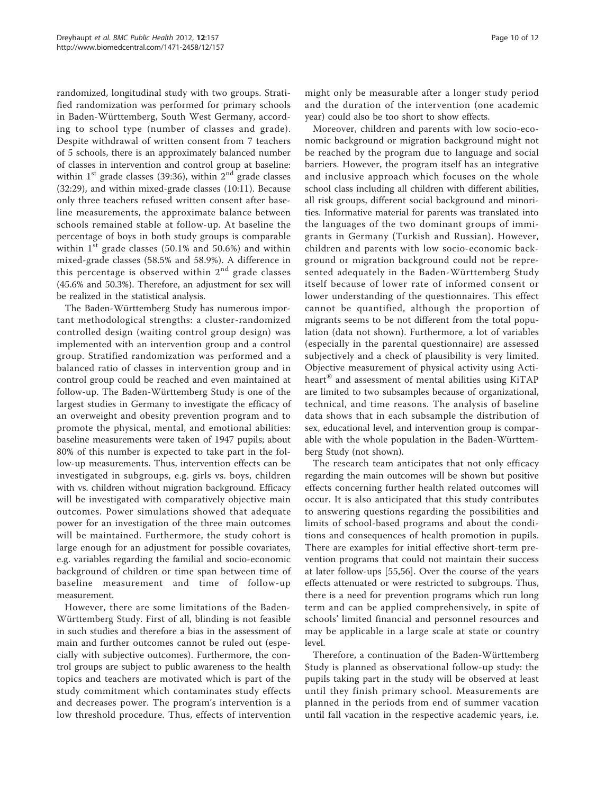randomized, longitudinal study with two groups. Stratified randomization was performed for primary schools in Baden-Württemberg, South West Germany, according to school type (number of classes and grade). Despite withdrawal of written consent from 7 teachers of 5 schools, there is an approximately balanced number of classes in intervention and control group at baseline: within  $1^{st}$  grade classes (39:36), within  $2^{nd}$  grade classes (32:29), and within mixed-grade classes (10:11). Because only three teachers refused written consent after baseline measurements, the approximate balance between schools remained stable at follow-up. At baseline the percentage of boys in both study groups is comparable within  $1<sup>st</sup>$  grade classes (50.1% and 50.6%) and within mixed-grade classes (58.5% and 58.9%). A difference in this percentage is observed within  $2<sup>nd</sup>$  grade classes (45.6% and 50.3%). Therefore, an adjustment for sex will be realized in the statistical analysis.

The Baden-Württemberg Study has numerous important methodological strengths: a cluster-randomized controlled design (waiting control group design) was implemented with an intervention group and a control group. Stratified randomization was performed and a balanced ratio of classes in intervention group and in control group could be reached and even maintained at follow-up. The Baden-Württemberg Study is one of the largest studies in Germany to investigate the efficacy of an overweight and obesity prevention program and to promote the physical, mental, and emotional abilities: baseline measurements were taken of 1947 pupils; about 80% of this number is expected to take part in the follow-up measurements. Thus, intervention effects can be investigated in subgroups, e.g. girls vs. boys, children with vs. children without migration background. Efficacy will be investigated with comparatively objective main outcomes. Power simulations showed that adequate power for an investigation of the three main outcomes will be maintained. Furthermore, the study cohort is large enough for an adjustment for possible covariates, e.g. variables regarding the familial and socio-economic background of children or time span between time of baseline measurement and time of follow-up measurement.

However, there are some limitations of the Baden-Württemberg Study. First of all, blinding is not feasible in such studies and therefore a bias in the assessment of main and further outcomes cannot be ruled out (especially with subjective outcomes). Furthermore, the control groups are subject to public awareness to the health topics and teachers are motivated which is part of the study commitment which contaminates study effects and decreases power. The program's intervention is a low threshold procedure. Thus, effects of intervention might only be measurable after a longer study period and the duration of the intervention (one academic year) could also be too short to show effects.

Moreover, children and parents with low socio-economic background or migration background might not be reached by the program due to language and social barriers. However, the program itself has an integrative and inclusive approach which focuses on the whole school class including all children with different abilities, all risk groups, different social background and minorities. Informative material for parents was translated into the languages of the two dominant groups of immigrants in Germany (Turkish and Russian). However, children and parents with low socio-economic background or migration background could not be represented adequately in the Baden-Württemberg Study itself because of lower rate of informed consent or lower understanding of the questionnaires. This effect cannot be quantified, although the proportion of migrants seems to be not different from the total population (data not shown). Furthermore, a lot of variables (especially in the parental questionnaire) are assessed subjectively and a check of plausibility is very limited. Objective measurement of physical activity using Actiheart® and assessment of mental abilities using KiTAP are limited to two subsamples because of organizational, technical, and time reasons. The analysis of baseline data shows that in each subsample the distribution of sex, educational level, and intervention group is comparable with the whole population in the Baden-Württemberg Study (not shown).

The research team anticipates that not only efficacy regarding the main outcomes will be shown but positive effects concerning further health related outcomes will occur. It is also anticipated that this study contributes to answering questions regarding the possibilities and limits of school-based programs and about the conditions and consequences of health promotion in pupils. There are examples for initial effective short-term prevention programs that could not maintain their success at later follow-ups [[55,56](#page-11-0)]. Over the course of the years effects attenuated or were restricted to subgroups. Thus, there is a need for prevention programs which run long term and can be applied comprehensively, in spite of schools' limited financial and personnel resources and may be applicable in a large scale at state or country level.

Therefore, a continuation of the Baden-Württemberg Study is planned as observational follow-up study: the pupils taking part in the study will be observed at least until they finish primary school. Measurements are planned in the periods from end of summer vacation until fall vacation in the respective academic years, i.e.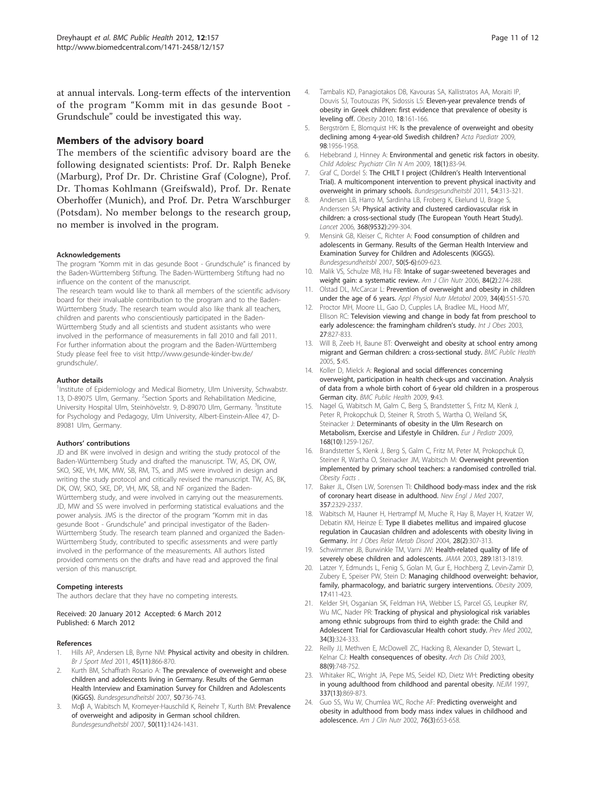<span id="page-10-0"></span>at annual intervals. Long-term effects of the intervention of the program "Komm mit in das gesunde Boot - Grundschule" could be investigated this way.

# Members of the advisory board

The members of the scientific advisory board are the following designated scientists: Prof. Dr. Ralph Beneke (Marburg), Prof Dr. Dr. Christine Graf (Cologne), Prof. Dr. Thomas Kohlmann (Greifswald), Prof. Dr. Renate Oberhoffer (Munich), and Prof. Dr. Petra Warschburger (Potsdam). No member belongs to the research group, no member is involved in the program.

#### Acknowledgements

The program "Komm mit in das gesunde Boot - Grundschule" is financed by the Baden-Württemberg Stiftung. The Baden-Württemberg Stiftung had no influence on the content of the manuscript.

The research team would like to thank all members of the scientific advisory board for their invaluable contribution to the program and to the Baden-Württemberg Study. The research team would also like thank all teachers, children and parents who conscientiously participated in the Baden-Württemberg Study and all scientists and student assistants who were involved in the performance of measurements in fall 2010 and fall 2011. For further information about the program and the Baden-Württemberg Study please feel free to visit [http://www.gesunde-kinder-bw.de/](http://www.gesunde-kinder-bw.de/grundschule/) [grundschule/](http://www.gesunde-kinder-bw.de/grundschule/).

#### Author details

<sup>1</sup>Institute of Epidemiology and Medical Biometry, Ulm University, Schwabstr. 13, D-89075 Ulm, Germany. <sup>2</sup>Section Sports and Rehabilitation Medicine, University Hospital Ulm, Steinhövelstr. 9, D-89070 Ulm, Germany. <sup>3</sup>Institute for Psychology and Pedagogy, Ulm University, Albert-Einstein-Allee 47, D-89081 Ulm, Germany.

#### Authors' contributions

JD and BK were involved in design and writing the study protocol of the Baden-Württemberg Study and drafted the manuscript. TW, AS, DK, OW, SKO, SKE, VH, MK, MW, SB, RM, TS, and JMS were involved in design and writing the study protocol and critically revised the manuscript. TW, AS, BK, DK, OW, SKO, SKE, DP, VH, MK, SB, and NF organized the Baden-Württemberg study, and were involved in carrying out the measurements. JD, MW and SS were involved in performing statistical evaluations and the power analysis. JMS is the director of the program "Komm mit in das gesunde Boot - Grundschule" and principal investigator of the Baden-Württemberg Study. The research team planned and organized the Baden-Württemberg Study, contributed to specific assessments and were partly involved in the performance of the measurements. All authors listed provided comments on the drafts and have read and approved the final version of this manuscript.

#### Competing interests

The authors declare that they have no competing interests.

Received: 20 January 2012 Accepted: 6 March 2012 Published: 6 March 2012

#### References

- Hills AP, Andersen LB, Byrne NM: Physical activity and obesity in children. Br J Sport Med 2011, 45(11):866-870.
- Kurth BM, Schaffrath Rosario A: The prevalence of overweight and obese children and adolescents living in Germany. Results of the German Health Interview and Examination Survey for Children and Adolescents (KiGGS). Bundesgesundheitsbl 2007, 50:736-743.
- Moß A, Wabitsch M, Kromeyer-Hauschild K, Reinehr T, Kurth BM: Prevalence of overweight and adiposity in German school children. Bundesgesundheitsbl 2007, 50(11):1424-1431.
- 4. Tambalis KD, Panagiotakos DB, Kavouras SA, Kallistratos AA, Moraiti IP, Douvis SJ, Toutouzas PK, Sidossis LS: [Eleven-year prevalence trends of](http://www.ncbi.nlm.nih.gov/pubmed/19521346?dopt=Abstract) [obesity in Greek children: first evidence that prevalence of obesity is](http://www.ncbi.nlm.nih.gov/pubmed/19521346?dopt=Abstract) [leveling off.](http://www.ncbi.nlm.nih.gov/pubmed/19521346?dopt=Abstract) Obesity 2010, 18:161-166.
- 5. Bergström E, Blomquist HK: [Is the prevalence of overweight and obesity](http://www.ncbi.nlm.nih.gov/pubmed/19735498?dopt=Abstract) [declining among 4-year-old Swedish children?](http://www.ncbi.nlm.nih.gov/pubmed/19735498?dopt=Abstract) Acta Paediatr 2009, 98:1956-1958.
- 6. Hebebrand J, Hinney A: [Environmental and genetic risk factors in obesity.](http://www.ncbi.nlm.nih.gov/pubmed/19014859?dopt=Abstract) Child Adolesc Psychiatr Clin N Am 2009, 18(1):83-94.
- 7. Graf C, Dordel S: The CHILT I project (Children's Health Interventional Trial). A multicomponent intervention to prevent physical inactivity and overweight in primary schools. Bundesgesundheitsbl 2011, 54:313-321.
- 8. Andersen LB, Harro M, Sardinha LB, Froberg K, Ekelund U, Brage S, Anderssen SA: [Physical activity and clustered cardiovascular risk in](http://www.ncbi.nlm.nih.gov/pubmed/16860699?dopt=Abstract) [children: a cross-sectional study \(The European Youth Heart Study\).](http://www.ncbi.nlm.nih.gov/pubmed/16860699?dopt=Abstract) Lancet 2006, 368(9532):299-304.
- 9. Mensink GB, Kleiser C, Richter A: Food consumption of children and adolescents in Germany. Results of the German Health Interview and Examination Survey for Children and Adolescents (KiGGS). Bundesgesundheitsbl 2007, 50(5-6):609-623.
- 10. Malik VS, Schulze MB, Hu FB: [Intake of sugar-sweetened beverages and](http://www.ncbi.nlm.nih.gov/pubmed/16895873?dopt=Abstract) [weight gain: a systematic review.](http://www.ncbi.nlm.nih.gov/pubmed/16895873?dopt=Abstract) Am J Clin Nutr 2006, 84(2):274-288.
- 11. Olstad DL, McCarcar L: Prevention of overweight and obesity in children under the age of 6 years. Appl Physiol Nutr Metabol 2009, 34(4):551-570.
- 12. Proctor MH, Moore LL, Gao D, Cupples LA, Bradlee ML, Hood MY, Ellison RC: Television viewing and change in body fat from preschool to early adolescence: the framingham children's study. Int J Obes 2003, 27:827-833.
- 13. Will B, Zeeb H, Baune BT: [Overweight and obesity at school entry among](http://www.ncbi.nlm.nih.gov/pubmed/15882467?dopt=Abstract) [migrant and German children: a cross-sectional study.](http://www.ncbi.nlm.nih.gov/pubmed/15882467?dopt=Abstract) BMC Public Health 2005, 5:45.
- 14. Koller D, Mielck A: [Regional and social differences concerning](http://www.ncbi.nlm.nih.gov/pubmed/19183444?dopt=Abstract) [overweight, participation in health check-ups and vaccination. Analysis](http://www.ncbi.nlm.nih.gov/pubmed/19183444?dopt=Abstract) [of data from a whole birth cohort of 6-year old children in a prosperous](http://www.ncbi.nlm.nih.gov/pubmed/19183444?dopt=Abstract) [German city.](http://www.ncbi.nlm.nih.gov/pubmed/19183444?dopt=Abstract) BMC Public Health 2009, 9:43.
- 15. Nagel G, Wabitsch M, Galm C, Berg S, Brandstetter S, Fritz M, Klenk J, Peter R, Prokopchuk D, Steiner R, Stroth S, Wartha O, Weiland SK, Steinacker J: [Determinants of obesity in the Ulm Research on](http://www.ncbi.nlm.nih.gov/pubmed/19562371?dopt=Abstract) [Metabolism, Exercise and Lifestyle in Children.](http://www.ncbi.nlm.nih.gov/pubmed/19562371?dopt=Abstract) Eur J Pediatr 2009, 168(10):1259-1267.
- 16. Brandstetter S, Klenk J, Berg S, Galm C, Fritz M, Peter M, Prokopchuk D, Steiner R, Wartha O, Steinacker JM, Wabitsch M: Overweight prevention implemented by primary school teachers: a randomised controlled trial. Obesity Facts .
- 17. Baker JL, Olsen LW, Sorensen TI: [Childhood body-mass index and the risk](http://www.ncbi.nlm.nih.gov/pubmed/18057335?dopt=Abstract) [of coronary heart disease in adulthood.](http://www.ncbi.nlm.nih.gov/pubmed/18057335?dopt=Abstract) New Engl J Med 2007, 357:2329-2337.
- 18. Wabitsch M, Hauner H, Hertrampf M, Muche R, Hay B, Mayer H, Kratzer W, Debatin KM, Heinze E: [Type II diabetes mellitus and impaired glucose](http://www.ncbi.nlm.nih.gov/pubmed/14724655?dopt=Abstract) [regulation in Caucasian children and adolescents with obesity living in](http://www.ncbi.nlm.nih.gov/pubmed/14724655?dopt=Abstract) [Germany.](http://www.ncbi.nlm.nih.gov/pubmed/14724655?dopt=Abstract) Int J Obes Relat Metab Disord 2004, 28(2):307-313.
- 19. Schwimmer JB, Burwinkle TM, Varni JW: [Health-related quality of life of](http://www.ncbi.nlm.nih.gov/pubmed/12684360?dopt=Abstract) [severely obese children and adolescents.](http://www.ncbi.nlm.nih.gov/pubmed/12684360?dopt=Abstract) JAMA 2003, 289:1813-1819.
- 20. Latzer Y, Edmunds L, Fenig S, Golan M, Gur E, Hochberg Z, Levin-Zamir D, Zubery E, Speiser PW, Stein D: [Managing childhood overweight: behavior,](http://www.ncbi.nlm.nih.gov/pubmed/19131937?dopt=Abstract) [family, pharmacology, and bariatric surgery interventions.](http://www.ncbi.nlm.nih.gov/pubmed/19131937?dopt=Abstract) Obesity 2009, 17:411-423.
- 21. Kelder SH, Osganian SK, Feldman HA, Webber LS, Parcel GS, Leupker RV, Wu MC, Nader PR: [Tracking of physical and physiological risk variables](http://www.ncbi.nlm.nih.gov/pubmed/11902849?dopt=Abstract) [among ethnic subgroups from third to eighth grade: the Child and](http://www.ncbi.nlm.nih.gov/pubmed/11902849?dopt=Abstract) [Adolescent Trial for Cardiovascular Health cohort study.](http://www.ncbi.nlm.nih.gov/pubmed/11902849?dopt=Abstract) Prev Med 2002, 34(3):324-333.
- 22. Reilly JJ, Methven E, McDowell ZC, Hacking B, Alexander D, Stewart L, Kelnar CJ: [Health consequences of obesity.](http://www.ncbi.nlm.nih.gov/pubmed/12937090?dopt=Abstract) Arch Dis Child 2003, 88(9):748-752.
- 23. Whitaker RC, Wright JA, Pepe MS, Seidel KD, Dietz WH: [Predicting obesity](http://www.ncbi.nlm.nih.gov/pubmed/9302300?dopt=Abstract) [in young adulthood from childhood and parental obesity.](http://www.ncbi.nlm.nih.gov/pubmed/9302300?dopt=Abstract) NEJM 1997, 337(13):869-873.
- 24. Guo SS, Wu W, Chumlea WC, Roche AF: [Predicting overweight and](http://www.ncbi.nlm.nih.gov/pubmed/12198014?dopt=Abstract) [obesity in adulthood from body mass index values in childhood and](http://www.ncbi.nlm.nih.gov/pubmed/12198014?dopt=Abstract) [adolescence.](http://www.ncbi.nlm.nih.gov/pubmed/12198014?dopt=Abstract) Am J Clin Nutr 2002, 76(3):653-658.